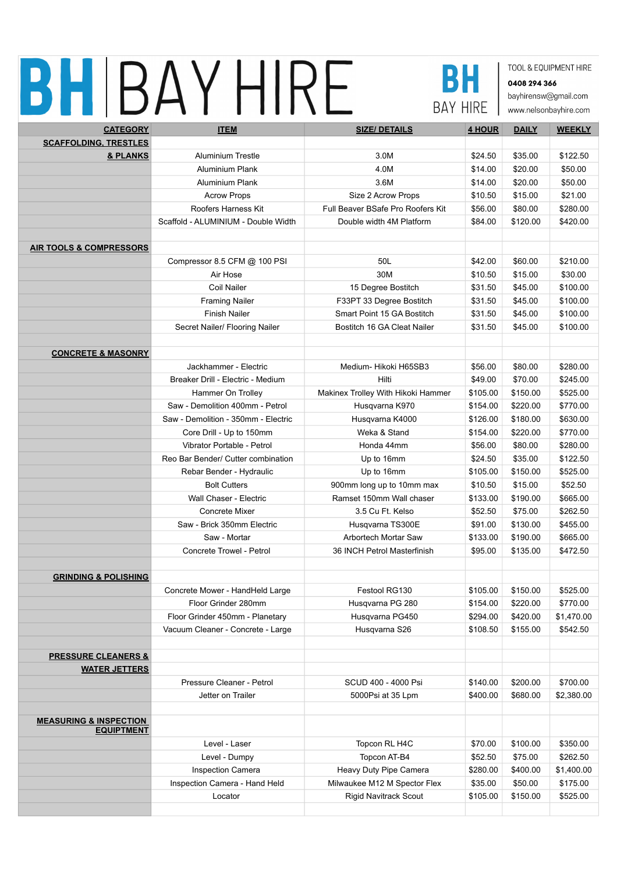## BHIBAYHIRE



TOOL & EQUIPMENT HIRE 0408 294 366 bayhirensw@gmail.com

www.nelsonbayhire.com

| <b>CATEGORY</b>                                        | <b>ITEM</b>                         | <b>SIZE/ DETAILS</b>               | 4 HOUR   | <b>DAILY</b> | <b>WEEKLY</b> |
|--------------------------------------------------------|-------------------------------------|------------------------------------|----------|--------------|---------------|
| <b>SCAFFOLDING, TRESTLES</b>                           |                                     |                                    |          |              |               |
| & PLANKS                                               | <b>Aluminium Trestle</b>            | 3.0M                               | \$24.50  | \$35.00      | \$122.50      |
|                                                        | Aluminium Plank                     | 4.0M                               | \$14.00  | \$20.00      | \$50.00       |
|                                                        | Aluminium Plank                     | 3.6M                               | \$14.00  | \$20.00      | \$50.00       |
|                                                        | <b>Acrow Props</b>                  | Size 2 Acrow Props                 | \$10.50  | \$15.00      | \$21.00       |
|                                                        | Roofers Harness Kit                 | Full Beaver BSafe Pro Roofers Kit  | \$56.00  | \$80.00      | \$280.00      |
|                                                        | Scaffold - ALUMINIUM - Double Width | Double width 4M Platform           | \$84.00  | \$120.00     | \$420.00      |
|                                                        |                                     |                                    |          |              |               |
| <b>AIR TOOLS &amp; COMPRESSORS</b>                     |                                     |                                    |          |              |               |
|                                                        | Compressor 8.5 CFM @ 100 PSI        | 50L                                | \$42.00  | \$60.00      | \$210.00      |
|                                                        | Air Hose                            | 30M                                | \$10.50  | \$15.00      | \$30.00       |
|                                                        | Coil Nailer                         | 15 Degree Bostitch                 | \$31.50  | \$45.00      | \$100.00      |
|                                                        | <b>Framing Nailer</b>               | F33PT 33 Degree Bostitch           | \$31.50  | \$45.00      | \$100.00      |
|                                                        | <b>Finish Nailer</b>                | Smart Point 15 GA Bostitch         | \$31.50  | \$45.00      | \$100.00      |
|                                                        | Secret Nailer/ Flooring Nailer      | Bostitch 16 GA Cleat Nailer        | \$31.50  | \$45.00      | \$100.00      |
|                                                        |                                     |                                    |          |              |               |
| <b>CONCRETE &amp; MASONRY</b>                          |                                     |                                    |          |              |               |
|                                                        | Jackhammer - Electric               | Medium-Hikoki H65SB3               | \$56.00  | \$80.00      | \$280.00      |
|                                                        | Breaker Drill - Electric - Medium   | Hilti                              | \$49.00  | \$70.00      | \$245.00      |
|                                                        | Hammer On Trolley                   | Makinex Trolley With Hikoki Hammer | \$105.00 | \$150.00     | \$525.00      |
|                                                        | Saw - Demolition 400mm - Petrol     | Husqvarna K970                     | \$154.00 | \$220.00     | \$770.00      |
|                                                        | Saw - Demolition - 350mm - Electric | Husqvarna K4000                    | \$126.00 | \$180.00     | \$630.00      |
|                                                        | Core Drill - Up to 150mm            | Weka & Stand                       | \$154.00 | \$220.00     | \$770.00      |
|                                                        | Vibrator Portable - Petrol          | Honda 44mm                         | \$56.00  | \$80.00      | \$280.00      |
|                                                        | Reo Bar Bender/ Cutter combination  | Up to 16mm                         | \$24.50  | \$35.00      | \$122.50      |
|                                                        | Rebar Bender - Hydraulic            | Up to 16mm                         | \$105.00 | \$150.00     | \$525.00      |
|                                                        | <b>Bolt Cutters</b>                 | 900mm long up to 10mm max          | \$10.50  | \$15.00      | \$52.50       |
|                                                        | Wall Chaser - Electric              | Ramset 150mm Wall chaser           | \$133.00 | \$190.00     | \$665.00      |
|                                                        | <b>Concrete Mixer</b>               | 3.5 Cu Ft. Kelso                   | \$52.50  | \$75.00      | \$262.50      |
|                                                        | Saw - Brick 350mm Electric          | Husqvarna TS300E                   | \$91.00  | \$130.00     | \$455.00      |
|                                                        | Saw - Mortar                        | Arbortech Mortar Saw               | \$133.00 | \$190.00     | \$665.00      |
|                                                        | Concrete Trowel - Petrol            | 36 INCH Petrol Masterfinish        | \$95.00  | \$135.00     | \$472.50      |
|                                                        |                                     |                                    |          |              |               |
| <b>GRINDING &amp; POLISHING</b>                        |                                     |                                    |          |              |               |
|                                                        | Concrete Mower - HandHeld Large     | Festool RG130                      | \$105.00 | \$150.00     | \$525.00      |
|                                                        | Floor Grinder 280mm                 | Husqvarna PG 280                   | \$154.00 | \$220.00     | \$770.00      |
|                                                        | Floor Grinder 450mm - Planetary     | Husqvarna PG450                    | \$294.00 | \$420.00     | \$1,470.00    |
|                                                        | Vacuum Cleaner - Concrete - Large   | Husqvarna S26                      | \$108.50 | \$155.00     | \$542.50      |
|                                                        |                                     |                                    |          |              |               |
| <b>PRESSURE CLEANERS &amp;</b>                         |                                     |                                    |          |              |               |
| <b>WATER JETTERS</b>                                   |                                     |                                    |          |              |               |
|                                                        | Pressure Cleaner - Petrol           | SCUD 400 - 4000 Psi                | \$140.00 | \$200.00     | \$700.00      |
|                                                        | Jetter on Trailer                   | 5000Psi at 35 Lpm                  | \$400.00 | \$680.00     | \$2,380.00    |
|                                                        |                                     |                                    |          |              |               |
| <b>MEASURING &amp; INSPECTION</b><br><b>EQUIPTMENT</b> |                                     |                                    |          |              |               |
|                                                        | Level - Laser                       | Topcon RL H4C                      | \$70.00  | \$100.00     | \$350.00      |
|                                                        | Level - Dumpy                       | Topcon AT-B4                       | \$52.50  | \$75.00      | \$262.50      |
|                                                        | Inspection Camera                   | Heavy Duty Pipe Camera             | \$280.00 | \$400.00     | \$1,400.00    |
|                                                        | Inspection Camera - Hand Held       | Milwaukee M12 M Spector Flex       | \$35.00  | \$50.00      | \$175.00      |
|                                                        | Locator                             | <b>Rigid Navitrack Scout</b>       | \$105.00 | \$150.00     | \$525.00      |
|                                                        |                                     |                                    |          |              |               |